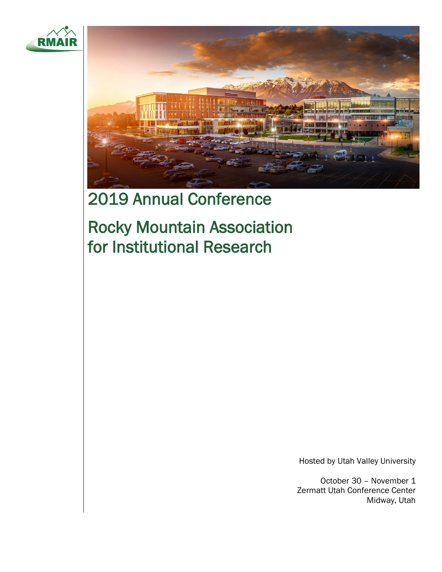



# 2019 Annual Conference

Rocky Mountain Association for Institutional Research

Hosted by Utah Valley University

October 30 – November 1 Zermatt Utah Conference Center Midway, Utah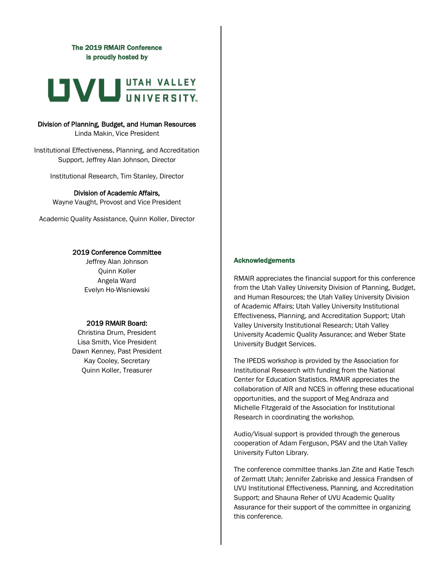## The 2019 RMAIR Conference is proudly hosted by



# Division of Planning, Budget, and Human Resources

Linda Makin, Vice President

Institutional Effectiveness, Planning, and Accreditation Support, Jeffrey Alan Johnson, Director

Institutional Research, Tim Stanley, Director

## Division of Academic Affairs,

Wayne Vaught, Provost and Vice President

Academic Quality Assistance, Quinn Koller, Director

## 2019 Conference Committee

Jeffrey Alan Johnson Quinn Koller Angela Ward Evelyn Ho-Wisniewski

## 2019 RMAIR Board:

Christina Drum, President Lisa Smith, Vice President Dawn Kenney, Past President Kay Cooley, Secretary Quinn Koller, Treasurer

## Acknowledgements

RMAIR appreciates the financial support for this conference from the Utah Valley University Division of Planning, Budget, and Human Resources; the Utah Valley University Division of Academic Affairs; Utah Valley University Institutional Effectiveness, Planning, and Accreditation Support; Utah Valley University Institutional Research; Utah Valley University Academic Quality Assurance; and Weber State University Budget Services.

The IPEDS workshop is provided by the Association for Institutional Research with funding from the National Center for Education Statistics. RMAIR appreciates the collaboration of AIR and NCES in offering these educational opportunities, and the support of Meg Andraza and Michelle Fitzgerald of the Association for Institutional Research in coordinating the workshop.

Audio/Visual support is provided through the generous cooperation of Adam Ferguson, PSAV and the Utah Valley University Fulton Library.

The conference committee thanks Jan Zite and Katie Tesch of Zermatt Utah; Jennifer Zabriske and Jessica Frandsen of UVU Institutional Effectiveness, Planning, and Accreditation Support; and Shauna Reher of UVU Academic Quality Assurance for their support of the committee in organizing this conference.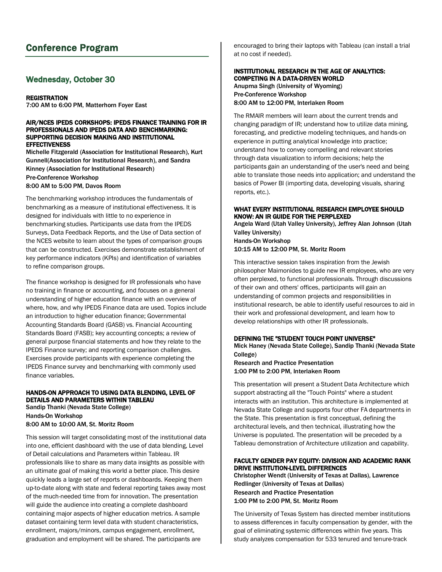## Conference Program

## Wednesday, October 30

## **REGISTRATION**

7:00 AM to 6:00 PM, Matterhorn Foyer East

#### AIR/NCES IPEDS CORKSHOPS: IPEDS FINANCE TRAINING FOR IR PROFESSIONALS AND IPEDS DATA AND BENCHMARKING: SUPPORTING DECISION MAKING AND INSTITUTIONAL **EFFECTIVENESS**

Michelle Fitzgerald (Association for Institutional Research), Kurt Gunnell(Association for Institutional Research), and Sandra Kinney (Association for Institutional Research) Pre-Conference Workshop 8:00 AM to 5:00 PM, Davos Room

The benchmarking workshop introduces the fundamentals of benchmarking as a measure of institutional effectiveness. It is designed for individuals with little to no experience in benchmarking studies. Participants use data from the IPEDS Surveys, Data Feedback Reports, and the Use of Data section of the NCES website to learn about the types of comparison groups that can be constructed. Exercises demonstrate establishment of key performance indicators (KPIs) and identification of variables to refine comparison groups.

The finance workshop is designed for IR professionals who have no training in finance or accounting, and focuses on a general understanding of higher education finance with an overview of where, how, and why IPEDS Finance data are used. Topics include an introduction to higher education finance; Governmental Accounting Standards Board (GASB) vs. Financial Accounting Standards Board (FASB); key accounting concepts; a review of general purpose financial statements and how they relate to the IPEDS Finance survey; and reporting comparison challenges. Exercises provide participants with experience completing the IPEDS Finance survey and benchmarking with commonly used finance variables.

## HANDS-ON APPROACH TO USING DATA BLENDING, LEVEL OF DETAILS AND PARAMETERS WITHIN TABLEAU

Sandip Thanki (Nevada State College) Hands-On Workshop 8:00 AM to 10:00 AM, St. Moritz Room

This session will target consolidating most of the institutional data into one, efficient dashboard with the use of data blending, Level of Detail calculations and Parameters within Tableau. IR professionals like to share as many data insights as possible with an ultimate goal of making this world a better place. This desire quickly leads a large set of reports or dashboards. Keeping them up-to-date along with state and federal reporting takes away most of the much-needed time from for innovation. The presentation will guide the audience into creating a complete dashboard containing major aspects of higher education metrics. A sample dataset containing term level data with student characteristics, enrollment, majors/minors, campus engagement, enrollment, graduation and employment will be shared. The participants are

encouraged to bring their laptops with Tableau (can install a trial at no cost if needed).

## INSTITUTIONAL RESEARCH IN THE AGE OF ANALYTICS: COMPETING IN A DATA-DRIVEN WORLD Anupma Singh (University of Wyoming) Pre-Conference Workshop

8:00 AM to 12:00 PM, Interlaken Room

The RMAIR members will learn about the current trends and changing paradigm of IR; understand how to utilize data mining, forecasting, and predictive modeling techniques, and hands-on experience in putting analytical knowledge into practice; understand how to convey compelling and relevant stories through data visualization to inform decisions; help the participants gain an understanding of the user's need and being able to translate those needs into application; and understand the basics of Power BI (importing data, developing visuals, sharing reports, etc.).

## WHAT EVERY INSTITUTIONAL RESEARCH EMPLOYEE SHOULD KNOW: AN IR GUIDE FOR THE PERPLEXED

Angela Ward (Utah Valley University), Jeffrey Alan Johnson (Utah Valley University)

Hands-On Workshop 10:15 AM to 12:00 PM, St. Moritz Room

This interactive session takes inspiration from the Jewish philosopher Maimonides to guide new IR employees, who are very often perplexed, to functional professionals. Through discussions of their own and others' offices, participants will gain an understanding of common projects and responsibilities in institutional research, be able to identify useful resources to aid in their work and professional development, and learn how to develop relationships with other IR professionals.

## DEFINING THE "STUDENT TOUCH POINT UNIVERSE"

Mick Haney (Nevada State College), Sandip Thanki (Nevada State College)

Research and Practice Presentation 1:00 PM to 2:00 PM, Interlaken Room

This presentation will present a Student Data Architecture which support abstracting all the "Touch Points" where a student interacts with an institution. This architecture is implemented at Nevada State College and supports four other FA departments in the State. This presentation is first conceptual, defining the architectural levels, and then technical, illustrating how the Universe is populated. The presentation will be preceded by a Tableau demonstration of Architecture utilization and capability.

## FACULTY GENDER PAY EQUITY: DIVISION AND ACADEMIC RANK DRIVE INSTITUTION-LEVEL DIFFERENCES

Christopher Wendt (University of Texas at Dallas), Lawrence Redlinger (University of Texas at Dallas) Research and Practice Presentation 1:00 PM to 2:00 PM, St. Moritz Room

The University of Texas System has directed member institutions to assess differences in faculty compensation by gender, with the goal of eliminating systemic differences within five years. This study analyzes compensation for 533 tenured and tenure-track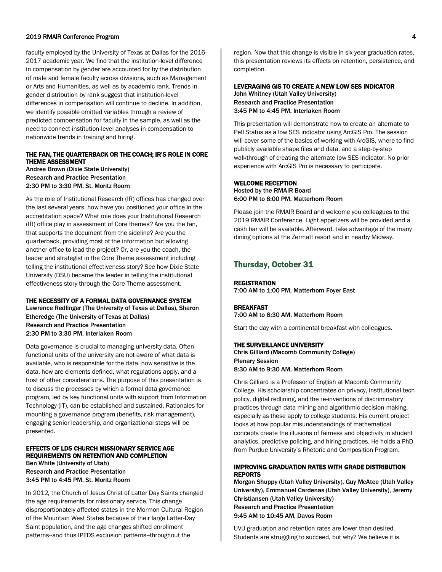#### 2019 RMAIR Conference Program 4

faculty employed by the University of Texas at Dallas for the 2016- 2017 academic year. We find that the institution-level difference in compensation by gender are accounted for by the distribution of male and female faculty across divisions, such as Management or Arts and Humanities, as well as by academic rank. Trends in gender distribution by rank suggest that institution-level differences in compensation will continue to decline. In addition, we identify possible omitted variables through a review of predicted compensation for faculty in the sample, as well as the need to connect institution-level analyses in compensation to nationwide trends in training and hiring.

## THE FAN, THE QUARTERBACK OR THE COACH; IR'S ROLE IN CORE THEME ASSESSMENT

Andrea Brown (Dixie State University) Research and Practice Presentation 2:30 PM to 3:30 PM, St. Moritz Room

As the role of Institutional Research (IR) offices has changed over the last several years, how have you positioned your office in the accreditation space? What role does your Institutional Research (IR) office play in assessment of Core themes? Are you the fan, that supports the document from the sideline? Are you the quarterback, providing most of the information but allowing another office to lead the project? Or, are you the coach, the leader and strategist in the Core Theme assessment including telling the institutional effectiveness story? See how Dixie State University (DSU) became the leader in telling the institutional effectiveness story through the Core Theme assessment.

## THE NECESSITY OF A FORMAL DATA GOVERNANCE SYSTEM

Lawrence Redlinger (The University of Texas at Dallas), Sharon Etheredge (The University of Texas at Dallas) Research and Practice Presentation 2:30 PM to 3:30 PM, Interlaken Room

Data governance is crucial to managing university data. Often functional units of the university are not aware of what data is available, who is responsible for the data, how sensitive is the data, how are elements defined, what regulations apply, and a host of other considerations. The purpose of this presentation is to discuss the processes by which a formal data governance program, led by key functional units with support from Information Technology (IT), can be established and sustained. Rationales for mounting a governance program (benefits, risk management), engaging senior leadership, and organizational steps will be presented.

#### EFFECTS OF LDS CHURCH MISSIONARY SERVICE AGE REQUIREMENTS ON RETENTION AND COMPLETION Ben White (University of Utah)

Research and Practice Presentation 3:45 PM to 4:45 PM, St. Moritz Room

In 2012, the Church of Jesus Christ of Latter Day Saints changed the age requirements for missionary service. This change disproportionately affected states in the Mormon Cultural Region of the Mountain West States because of their large Latter-Day Saint population, and the age changes shifted enrollment patterns--and thus IPEDS exclusion patterns--throughout the

region. Now that this change is visible in six-year graduation rates, this presentation reviews its effects on retention, persistence, and completion.

## LEVERAGING GIS TO CREATE A NEW LOW SES INDICATOR

John Whitney (Utah Valley University) Research and Practice Presentation 3:45 PM to 4:45 PM, Interlaken Room

This presentation will demonstrate how to create an alternate to Pell Status as a low SES indicator using ArcGIS Pro. The session will cover some of the basics of working with ArcGIS, where to find publicly available shape files and data, and a step-by-step walkthrough of creating the alternate low SES indicator. No prior experience with ArcGIS Pro is necessary to participate.

## WELCOME RECEPTION Hosted by the RMAIR Board 6:00 PM to 8:00 PM, Matterhorn Room

Please join the RMAIR Board and welcome you colleagues to the 2019 RMAIR Conference. Light appetizers will be provided and a cash bar will be available. Afterward, take advantage of the many dining options at the Zermatt resort and in nearby Midway.

## Thursday, October 31

**REGISTRATION** 7:00 AM to 1:00 PM, Matterhorn Foyer East

#### BREAKFAST

7:00 AM to 8:30 AM, Matterhorn Room

Start the day with a continental breakfast with colleagues.

#### THE SURVEILLANCE UNIVERSITY

Chris Gilliard (Macomb Community College) Plenary Session 8:30 AM to 9:30 AM, Matterhorn Room

Chris Gilliard is a Professor of English at Macomb Community College. His scholarship concentrates on privacy, institutional tech policy, digital redlining, and the re-inventions of discriminatory practices through data mining and algorithmic decision-making, especially as these apply to college students. His current project looks at how popular misunderstandings of mathematical concepts create the illusions of fairness and objectivity in student analytics, predictive policing, and hiring practices. He holds a PhD from Purdue University's Rhetoric and Composition Program.

## IMPROVING GRADUATION RATES WITH GRADE DISTRIBUTION REPORTS

Morgan Shuppy (Utah Valley University), Guy McAtee (Utah Valley University), Emmanuel Cardenas (Utah Valley University), Jeremy Christiansen (Utah Valley University) Research and Practice Presentation 9:45 AM to 10:45 AM, Davos Room

UVU graduation and retention rates are lower than desired. Students are struggling to succeed, but why? We believe it is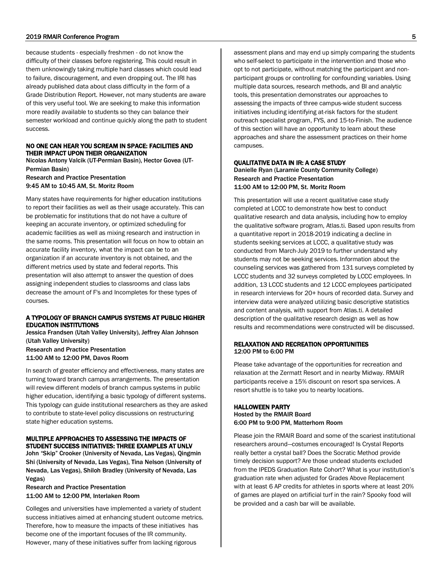#### 2019 RMAIR Conference Program 5

because students - especially freshmen - do not know the difficulty of their classes before registering. This could result in them unknowingly taking multiple hard classes which could lead to failure, discouragement, and even dropping out. The IRI has already published data about class difficulty in the form of a Grade Distribution Report. However, not many students are aware of this very useful tool. We are seeking to make this information more readily available to students so they can balance their semester workload and continue quickly along the path to student success.

#### NO ONE CAN HEAR YOU SCREAM IN SPACE: FACILITIES AND THEIR IMPACT UPON THEIR ORGANIZATION

Nicolas Antony Valcik (UT-Permian Basin), Hector Govea (UT-Permian Basin) Research and Practice Presentation 9:45 AM to 10:45 AM, St. Moritz Room

Many states have requirements for higher education institutions to report their facilities as well as their usage accurately. This can be problematic for institutions that do not have a culture of keeping an accurate inventory, or optimized scheduling for academic facilities as well as mixing research and instruction in the same rooms. This presentation will focus on how to obtain an accurate facility inventory, what the impact can be to an organization if an accurate inventory is not obtained, and the different metrics used by state and federal reports. This presentation will also attempt to answer the question of does assigning independent studies to classrooms and class labs decrease the amount of F's and Incompletes for these types of courses.

## A TYPOLOGY OF BRANCH CAMPUS SYSTEMS AT PUBLIC HIGHER EDUCATION INSTITUTIONS

Jessica Frandsen (Utah Valley University), Jeffrey Alan Johnson (Utah Valley University) Research and Practice Presentation 11:00 AM to 12:00 PM, Davos Room

In search of greater efficiency and effectiveness, many states are turning toward branch campus arrangements. The presentation will review different models of branch campus systems in public higher education, identifying a basic typology of different systems. This typology can guide institutional researchers as they are asked to contribute to state-level policy discussions on restructuring state higher education systems.

## MULTIPLE APPROACHES TO ASSESSING THE IMPACTS OF STUDENT SUCCESS INITIATIVES: THREE EXAMPLES AT UNLV

John "Skip" Crooker (University of Nevada, Las Vegas), Qingmin Shi (University of Nevada, Las Vegas), Tina Nelson (University of Nevada, Las Vegas), Shiloh Bradley (University of Nevada, Las Vegas)

Research and Practice Presentation 11:00 AM to 12:00 PM, Interlaken Room

Colleges and universities have implemented a variety of student success initiatives aimed at enhancing student outcome metrics. Therefore, how to measure the impacts of these initiatives has become one of the important focuses of the IR community. However, many of these initiatives suffer from lacking rigorous

assessment plans and may end up simply comparing the students who self-select to participate in the intervention and those who opt to not participate, without matching the participant and nonparticipant groups or controlling for confounding variables. Using multiple data sources, research methods, and BI and analytic tools, this presentation demonstrates our approaches to assessing the impacts of three campus-wide student success initiatives including identifying at-risk factors for the student outreach specialist program, FYS, and 15-to-Finish. The audience of this section will have an opportunity to learn about these approaches and share the assessment practices on their home campuses.

## QUALITATIVE DATA IN IR: A CASE STUDY

Danielle Ryan (Laramie County Community College) Research and Practice Presentation 11:00 AM to 12:00 PM, St. Moritz Room

This presentation will use a recent qualitative case study completed at LCCC to demonstrate how best to conduct qualitative research and data analysis, including how to employ the qualitative software program, Atlas.ti. Based upon results from a quantitative report in 2018-2019 indicating a decline in students seeking services at LCCC, a qualitative study was conducted from March-July 2019 to further understand why students may not be seeking services. Information about the counseling services was gathered from 131 surveys completed by LCCC students and 32 surveys completed by LCCC employees. In addition, 13 LCCC students and 12 LCCC employees participated in research interviews for 20+ hours of recorded data. Survey and interview data were analyzed utilizing basic descriptive statistics and content analysis, with support from Atlas.ti. A detailed description of the qualitative research design as well as how results and recommendations were constructed will be discussed.

## RELAXATION AND RECREATION OPPORTUNITIES 12:00 PM to 6:00 PM

Please take advantage of the opportunities for recreation and relaxation at the Zermatt Resort and in nearby Midway. RMAIR participants receive a 15% discount on resort spa services. A resort shuttle is to take you to nearby locations.

## HALLOWEEN PARTY

Hosted by the RMAIR Board 6:00 PM to 9:00 PM, Matterhorn Room

Please join the RMAIR Board and some of the scariest institutional researchers around—costumes encouraged! Is Crystal Reports really better a crystal ball? Does the Socratic Method provide timely decision support? Are those undead students excluded from the IPEDS Graduation Rate Cohort? What is your institution's graduation rate when adjusted for Grades Above Replacement with at least 6 AP credits for athletes in sports where at least 20% of games are played on artificial turf in the rain? Spooky food will be provided and a cash bar will be available.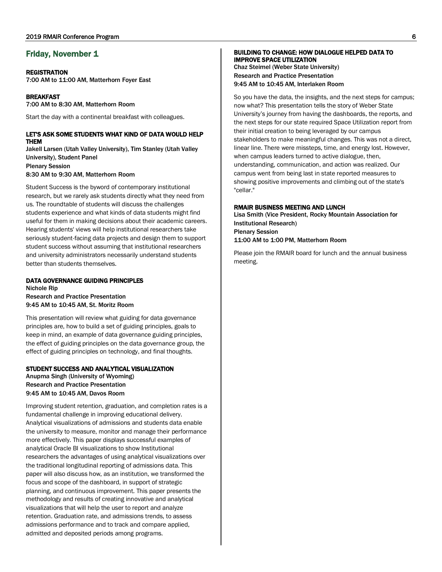## Friday, November 1

#### **REGISTRATION**

7:00 AM to 11:00 AM, Matterhorn Foyer East

BREAKFAST 7:00 AM to 8:30 AM, Matterhorn Room

Start the day with a continental breakfast with colleagues.

## LET'S ASK SOME STUDENTS WHAT KIND OF DATA WOULD HELP THEM

Jakell Larsen (Utah Valley University), Tim Stanley (Utah Valley University), Student Panel Plenary Session 8:30 AM to 9:30 AM, Matterhorn Room

Student Success is the byword of contemporary institutional research, but we rarely ask students directly what they need from us. The roundtable of students will discuss the challenges students experience and what kinds of data students might find useful for them in making decisions about their academic careers. Hearing students' views will help institutional researchers take seriously student-facing data projects and design them to support student success without assuming that institutional researchers and university administrators necessarily understand students better than students themselves.

## DATA GOVERNANCE GUIDING PRINCIPLES

Nichole Rip Research and Practice Presentation 9:45 AM to 10:45 AM, St. Moritz Room

This presentation will review what guiding for data governance principles are, how to build a set of guiding principles, goals to keep in mind, an example of data governance guiding principles, the effect of guiding principles on the data governance group, the effect of guiding principles on technology, and final thoughts.

## STUDENT SUCCESS AND ANALYTICAL VISUALIZATION

Anupma Singh (University of Wyoming) Research and Practice Presentation 9:45 AM to 10:45 AM, Davos Room

Improving student retention, graduation, and completion rates is a fundamental challenge in improving educational delivery. Analytical visualizations of admissions and students data enable the university to measure, monitor and manage their performance more effectively. This paper displays successful examples of analytical Oracle BI visualizations to show Institutional researchers the advantages of using analytical visualizations over the traditional longitudinal reporting of admissions data. This paper will also discuss how, as an institution, we transformed the focus and scope of the dashboard, in support of strategic planning, and continuous improvement. This paper presents the methodology and results of creating innovative and analytical visualizations that will help the user to report and analyze retention. Graduation rate, and admissions trends, to assess admissions performance and to track and compare applied, admitted and deposited periods among programs.

#### BUILDING TO CHANGE: HOW DIALOGUE HELPED DATA TO IMPROVE SPACE UTILIZATION

Chaz Steimel (Weber State University) Research and Practice Presentation 9:45 AM to 10:45 AM, Interlaken Room

So you have the data, the insights, and the next steps for campus; now what? This presentation tells the story of Weber State University's journey from having the dashboards, the reports, and the next steps for our state required Space Utilization report from their initial creation to being leveraged by our campus stakeholders to make meaningful changes. This was not a direct, linear line. There were missteps, time, and energy lost. However, when campus leaders turned to active dialogue, then, understanding, communication, and action was realized. Our campus went from being last in state reported measures to showing positive improvements and climbing out of the state's "cellar."

## RMAIR BUSINESS MEETING AND LUNCH

Lisa Smith (Vice President, Rocky Mountain Association for Institutional Research) Plenary Session 11:00 AM to 1:00 PM, Matterhorn Room

Please join the RMAIR board for lunch and the annual business meeting.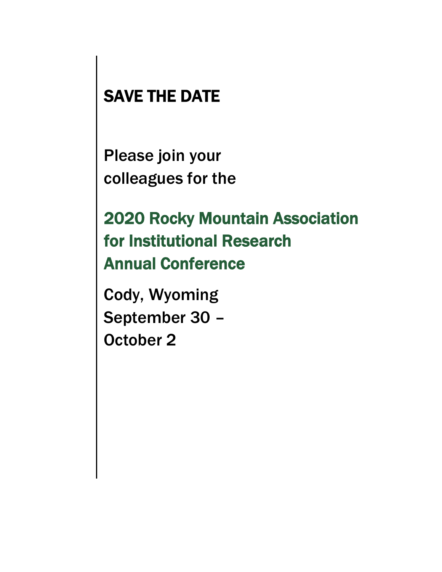# SAVE THE DATE

Please join your colleagues for the

2020 Rocky Mountain Association for Institutional Research Annual Conference

Cody, Wyoming September 30 – October 2